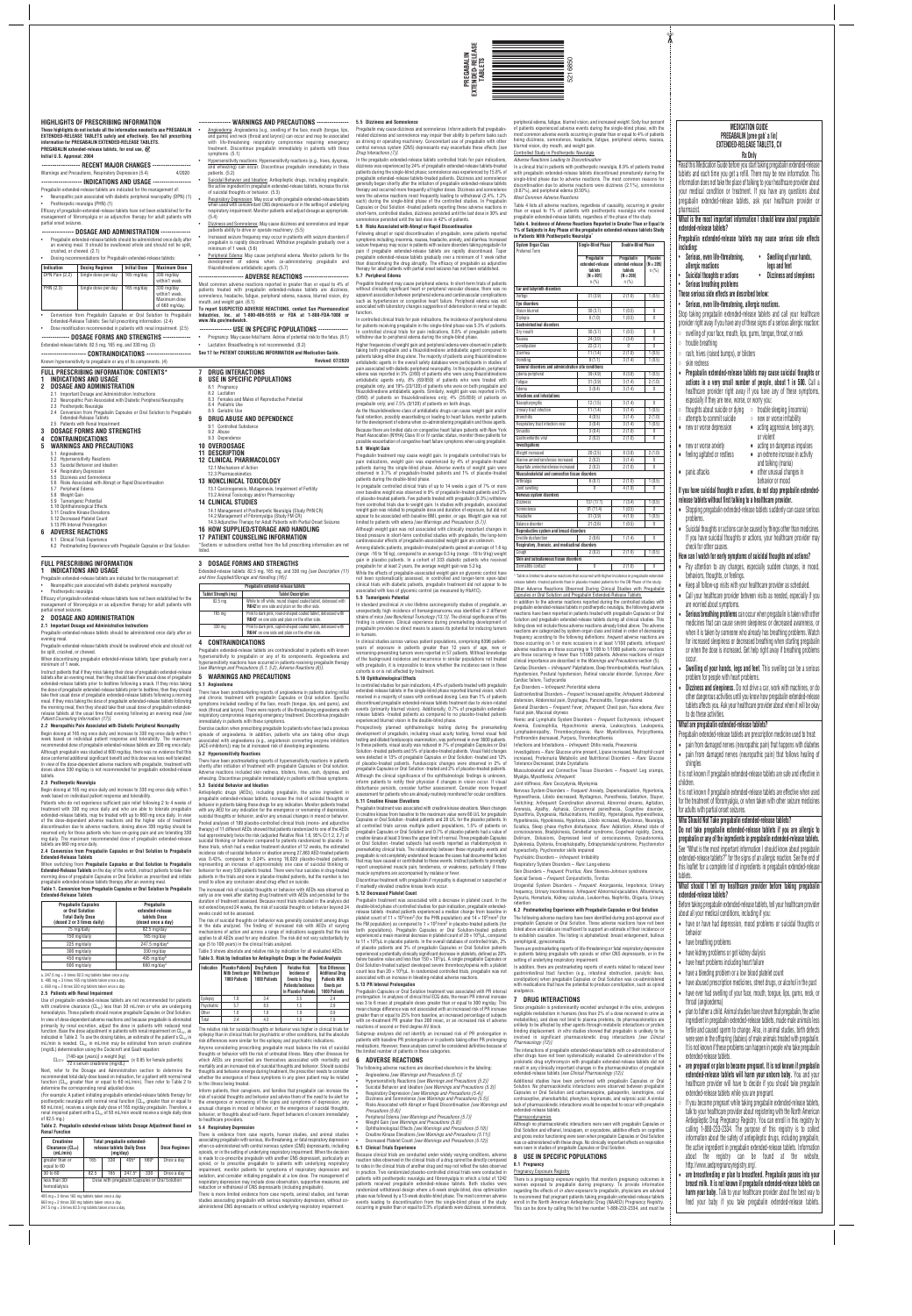*Drug Interactions (7)]*. In the pregabalin extended-release tablets controlled trials for pain indications, dizziness was experienced by 24% of pregabalin extended-release tablets-treated patients during the single-blind phase; somnolence was experienced by 15.8% of pregabalin extended-release tablets-treated patients. Dizziness and somnolence generally began shortly after the initiation of pregabalin extended-release tablets therapy and occurred more frequently at higher doses. Dizziness and somnolence were the adverse reactions most frequently leading to withdrawal (2.4%, 1.2% each) during the single-blind phase of the controlled studies. In Pregabalin Capsules or Oral Solution -treated patients reporting these adverse reactions in short-term, controlled studies, dizziness persisted until the last dose in 30% and somnolence persisted until the last dose in 42% of patients*.*

#### **5.6 Risks Associated with Abrupt or Rapid Discontinuation**

Following abrupt or rapid discontinuation of pregabalin, some patients reported symptoms including, insomnia, nausea, headache, anxiety, and diarrhea. Increased  $\dot{\text{e}}$ izure frequency may occur in patients with seizure disorders taking pregabalin for pain if pregabalin extended-release tablets are rapidly discontinued. Taper pregabalin extended-release tablets gradually over a minimum of 1 week rather than discontinuing the drug abruptly. The efficacy of pregabalin as adjunctive therapy for adult patients with partial onset seizures has not been established. **5.7 Peripheral Edema**

Pregablin treatment may cause peripheral edema. In short-term trials of patients without clinically significant heart or peripheral vascular disease, there was no apparent association between peripheral edema and cardiovascular complications such as hypertension or congestive heart failure. Peripheral edema was not associated with laboratory changes suggestive of deterioration in renal or hepatic function.

In pregabalin controlled clinical trials of up to 14 weeks a gain of 7% or more over baseline weight was observed in 9% of pregabalin-treated patients and 2% of placebo-treated patients. Few patients treated with pregabalin (0.3%) withdrew from controlled trials due to weight gain. In studies with pregabalin, associated weight gain was related to pregabalin dose and duration of exposure, but did not ar to be associated with baseline BMI, gender, or age. Weight gain was not

In controlled clinical trials for pain indications, the incidence of peripheral edema for patients receiving pregabalin in the single-blind phase was 5.3% of patients. In controlled clinical trials for pain indications, 0.8% of pregabalin patients withdrew due to peripheral edema during the single-blind phase.

Higher frequencies of weight gain and peripheral edema were observed in patients taking both pregabalin and a thiazolidinedione antidiabetic agent compared to patients taking either drug alone. The majority of patients using thiazolidinedione antidiabetic agents in the overall safety database were participants in studies of pain associated with diabetic peripheral neuropathy. In this population, peripheral edema was reported in 3% (2/60) of patients who were using thiazolidinedione antidiabetic agents only, 8% (69/859) of patients who were treated with pregabalin only, and 19% (23/120) of patients who were on both pregabalin and<br>thiazolidinedione antidiabetic agents. Similarly, weight gain was reported in 0%<br>(0/60) of patients on thiazolidinediones only; 4% (35/859) of p pregabalin only; and 7.5% (9/120) of patients on both drugs.

In clinical studies across various patient populations, comprising 6396 patientyears of exposure in patients greater than 12 years of age, new or worsening-preexisting tumors were reported in 57 patients. Without knowledge of the background incidence and recurrence in similar populations not treated with pregabalin, it is impossible to know whether the incidence seen in these cohorts is or is not affected by treatment.

As the thiazolidinedione class of antidiabetic drugs can cause weight gain and/or fluid retention, possibly exacerbating or leading to heart failure, monitor patients for the development of edema when co-administering pregabalin and these agents. Because there are limited data on congestive heart failure patients with New York Heart Association (NYHA) Class III or IV cardiac status, monitor these patients for possible exacerbation of congestive heart failure symptoms when using pregabalin. **5.8 Weight Gain**

n humans.

Pregabalin treatment may cause weight gain. In pregabalin controlled trials for pain indications, weight gain was experienced by 4% of pregabalin-treated patients during the single-blind phase. Adverse events of weight gain were observed in 3.7% of pregabalin-treated patients and 1% of placebo-treated patients during the double-blind phase.

Discontinue treatment with pregabalin if myopathy is diagnosed or suspected or markedly elevated creatine kinase levels occur.

Pregabalin treatment was associated with a decrease in platelet count. In the double-blind phase of controlled studies for pain indication, pregabalin extendedrelease tablets -treated patients experienced a median change from baseline in platelet count of 11  $\times$  10<sup>3</sup>/mm<sup>3</sup> (for the PHN population) and 14  $\times$  10<sup>3</sup>/mm<sup>3</sup> (for the FM population) as compared to  $1 \times 10^3/\text{mm}^3$  in placebo-treated patients (for both populations). Pregabalin Capsules or Oral Solution-treated patients experienced a mean maximal decrease in platelet count of 20 × 103/µL, compared to 11 × 103/µL in placebo patients. In the overall database of controlled trials, 2% of placebo patients and 3% of pregabalin Capsules or Oral Solution patients experienced a potentially clinically significant decrease in platelets, defined as 20% baseline value and less than  $150 \times 10^3/\mu$ . A single pregabalin Capsules or Oral Solution-treated subject developed severe thrombocytopenia with a platelet count less than  $20 \times 10^3 / \mu$  In randomized controlled trials, pregabalin was not ciated with an increase in bleeding-related adverse reactions.

limited to patients with edema *[see Warnings and Precautions (5.7)]*. Although weight gain was not associated with clinically important changes in blood pressure in short-term controlled studies with pregabalin, the long-term cardiovascular effects of pregabalin-associated weight gain are unknown.

Among diabetic patients, pregabalin-treated patients gained an average of 1.6 kg (range: -16 to 16 kg), compared to an average 0.3 kg (range: -10 to 9 kg) weight gain in placebo patients. In a cohort of 333 diabetic patients who received pregabalin for at least 2 years, the average weight gain was 5.2 kg.

While the effects of pregabalin-associated weight gain on glycemic control have not been systematically assessed, in controlled and longer-term open-label clinical trials with diabetic patients, pregabalin treatment did not appear to be associated with loss of glycemic control (as measured by HbA1C). **5.9 Tumorigenic Potential**

In standard preclinical *in vivo* lifetime carcinogenicity studies of pregabalin, an unexpectedly high incidence of hemangiosarcoma was identified in 2 different strains of mice *[see Nonclinical Toxicology (13.1)]*. The clinical significance of this finding is unknown. Clinical experience during premarketing development of pregabalin provides no direct means to assess its potential for inducing tumors

**5.10 Ophthalmological Effects**

Pregabalin may cause dizziness and somnolence. Inform patients that pregabalin related dizziness and somnolence may impair their ability to perform tasks such as driving or operating machinery. Concomitant use of pregabalin with other central nervous system (CNS) depressants may exacerbate these effects *[see* peripheral edema, fatigue, blurred vision, and increased weight. Sixty four percent ot patients experienced adverse events during the single-blind phase, with the<br>most common adverse events occurring in greater than or equal to 4% of patients<br>being dizziness, somnolence, headache, fatigue, peripheral edem blurred vision, dry mouth, and weight gain. Controlled Study in Postherpetic Neuralgia

In controlled studies for pain indications, 4.8% of patients treated with pregabalin extended-release tablets in the single-blind phase reported blurred vision, which resolved in a majority of cases with continued dosing. Less than 1% of patients discontinued pregabalin extended-release tablets treatment due to vision-related events (primarily blurred vision). Additionally, 0.7% of pregabalin extendedrelease tablets -treated patients as compared to no placebo-treated patients Table 4 lists all adverse reactions, regardless of causality, occurring in greater than or equal to 1% of patients with postherpetic neuralgia who received pregabalin extended-release tablets, regardless of the phase of the study. **Table 4. Incidence of Adverse Reactions Reported in Greater Than or Equal to 1% of Subjects in Any Phase of the pregabalin extended-release tablets Study**

experienced blurred vision in the double-blind phase.

 $\frac{1}{1}$  (0.5) 1 (0.5) Diplopia 8 (1.0) 1 (0.5) 0

**Pregabalin**<br>**extended-release** extended-rele

 $\begin{array}{|c|c|c|}\n\hline\n30 (3.7) & 1 (0.5) \\
\hline\n24 (3.0) & 7 (3.4)\n\end{array}$ 

Prospectively planned ophthalmologic testing during the premarketing development of pregabalin, including visual acuity testing, formal visual field testing and dilated funduscopic examination, was performed in over 3600 patients. In these patients, visual acuity was reduced in 7% of pregabalin Capsules or Oral

 $\frac{1}{22}$  (2.7) 0 0 Diarrhea 11 (1.4) 2 (1.0) 1 (0.5) Vomiting 9 (1.1) 3 (1.4) 1 (0.5)

Edema peripheral  $39 (4.9)$   $8 (3.8)$   $1 (0.5)$ Fatigue 31 (3.9) 3 (1.4) 2 (1.0) Edema 3 (0.4) 3 (1.4) 0

Weight increased  $(2.5)$  8 (3.8) 2 (1.0) nine aminotransferase increased  $\begin{array}{|c|c|c|c|c|c|c|c|c|c|} \hline 2 & (0.2) & 3 & (1.4) & 0 \\ \hline \end{array}$ artate aminotransferase increased  $\begin{array}{|c|c|c|c|c|c|c|c|c|} \hline 2 (0.2) & 2 (1.0) & 0 \ \hline \end{array}$ 

Arthralgia 6 (0.7) 2 (1.0) 1 (0.5) vertice of the swelling of the set of the set of the set of the set of the set of the set of the set of the set of the set of the set of the set of the set of the set of the set of the set of the set of the set of the set

Solution -treated patients and 5% of placebo-treated patients. Visual field changes were detected in 13% of pregabalin Capsules or Oral Solution -treated and 12% of placebo-treated patients. Funduscopic changes were observed in 2% of pregabalin Capsules or Oral Solution -treated and 2% of placebo-treated patients. Although the clinical significance of the ophthalmologic findings is unknown. inform patients to notify their physician if changes in vision occur. If visual

disturbance persists, consider further assessment. Consider more frequent assessment for patients who are already routinely monitored for ocular conditions.

# **5.11 Creatine Kinase Elevations**

 $\begin{array}{|c|c|c|c|c|}\n\hline\n\text{matrix contact} & & & 0 & & 2 \ (1.0) & & & & \end{array}$  $^*$  Table is limited to adverse reactions that occurred with higher incidence in pregaba e tablets -treated patients than in placebo-treated patients for the DB Phase of the stud Other Adverse Reactions Observed During Clinical Studies with Pregabalin Capsules or Oral Solution and Pregabalin Extended-Release Tablets In addition to the adverse reactions reported during the controlled studies with pregabalin extended-release tablets in postherpetic neuralgia, the following adverse reactions have been reported in patients treated with pregabalin Capsules or Oral Solution and pregabalin extended-release tablets during all clinical studies. This listing does not include those adverse reactions already listed above. The adverse reactions are categorized by system organ class and listed in order of decreasing frequency according to the following definitions: *frequent* adverse reactions are those occurring on 1 or more occasions in at least 1/100 patients; *infrequent* adverse reactions are those occurring in 1/100 to 1/1000 patients; *rare* reactions are those occurring in fewer than 1/1000 patients. Adverse reactions of major clinical importance are described in the *Warnings and Precautions* section (5). Cardiac Disorders – *Infrequent:* Palpitations, Deep thrombophlebitis, Heart failure, Hypotension, Postural hypotension, Retinal vascular disorder, Syncope; *Rare:*

opharyngitis 12 (1.5) 3 (1.4)<br>ary tract infection 11 (1.4) 3 (1.4) nary tract infection 11 (1.4) 3 (1.4) 1 (0.5) Bronchitis  $(1.0)$  4 (0.5) 3 (1.4) 2 (1.0) Respiratory tract infection viral 3 (0.4) 3 (1.4) 1 (0.5) SINUSITIS | 3 (0.4) | 2 (1.0) | 0  $G$ astroenteritis viral  $2(0.2)$   $2(1.0)$  0

Pregabalin treatment was associated with creatine kinase elevations. Mean changes in creatine kinase from baseline to the maximum value were 60 U/L for pregabalin Capsules or Oral Solution -treated patients and 28 U/L for the placebo patients. In all controlled trials across multiple patient populations, 1.5% of patients on pregabalin Capsules or Oral Solution and 0.7% of placebo patients had a value of creatine kinase at least 3 times the upper limit of normal. Three pregabalin Capsules or Oral Solution -treated subjects had events reported as rhabdomyolysis in premarketing clinical trials. The relationship between these myopathy events and pregabalin is not completely understood because the cases had documented factors that may have caused or contributed to these events. Instruct patients to promptly report unexplained muscle pain, tenderness, or weakness, particularly if these muscle symptoms are accompanied by malaise or fever.

#### **5.12 Decreased Platelet Count**

#### **5.13 PR Interval Prolongation**

Pregabalin Capsules or Oral Solution treatment was associated with PR interval and depends of our bolder weather the associated that it increase was 3 to 6 msec at pregabalin doses greater than or equal to 300 mg/day. This mean change difference was not associated with an increased risk of PR increase greater than or equal to 25% from baseline, an increased percentage of subjects with on-treatment PR greater than 200 msec, or an increased risk of adverse reactions of second or third degree AV block.

Subgroup analyses did not identify an increased risk of PR prolongation in patients with baseline PR prolongation or in patients taking other PR prolonging medications. However, these analyses cannot be considered definitive because of the limited number of patients in these categories.

> There is a pregnancy exposure registry that monitors pregnancy outcomes in women exposed to pregabalin during pregnancy. To provide information regarding the effects of *in utero* exposure to pregabalin, physicians are advised to recommend that pregnant patients taking pregabalin extended-release tablets<br>enroll in the North American Antiepileptic Drug (NAAED) Pregnancy Registry.<br>This can be done by calling the toll free number 1-888-233-2334, an

### **6 ADVERSE REACTIONS**

following adverse reactions are described elsewhere in the labeling:

- Angioedema *[see Warnings and Precautions (5.1)]* Hypersensitivity Reactions *[see Warnings and Precautions (5.2)]*
- Suicidal Behavior and Ideation *[see Warnings and Precautions (5.3)]*
- Respiratory Depression *[see Warnings and Precautions (5.4)]* Dizziness and Somnolence *[see Warnings and Precautions (5.5)]*
- Risks Associated with Abrupt or Rapid Discontinuation *[see Warnings and Precautions (5.6)]*
- Peripheral Edema *[see Warnings and Precautions (5.7)]*
- Weight Gain *[see Warnings and Precautions (5.8)]*
- Ophthalmological Effects *[see Warnings and Precautions (5.10)]* Creatine Kinase Elevations *[see Warnings and Precautions (5.11)]*
- Decreased Platelet Count *[see Warnings and Precautions (5.12)]*

### **6.1 Clinical Trials Experience**

■ an extreme increase in activity and talking (mania)

Because clinical trials are conducted under widely varying conditions, adverse reaction rates observed in the clinical trials of a drug cannot be directly compared to rates in the clinical trials of another drug and may not reflect the rates observed<br>in practice. Two randomized placebo-controlled clinical trials were conducted in<br>patients with postherpetic neuralgia and fibromyalgia patients received pregabalin extended-release tablets. Both studies were randomized withdrawal design where a 6-week single-blind, dose optimization phase was followed by a 13-week double-blind phase. The most common adverse events leading to discontinuation from the single-blind phase of the study occurring in greater than or equal to 0.3% of patients were dizziness, somnolence,

Suicidal thoughts or actions can be caused by things other than medicines. If you have suicidal thoughts or actions, your healthcare provider may

**How can I watch for early symptoms of suicidal thoughts and actions?** Pay attention to any changes, especially sudden changes, in mood,

Keep all follow-up visits with your healthcare provider as scheduled. Call your healthcare provider between visits as needed, especially if you

*Adverse Reactions Leading to Discontinuation*

In a clinical trial in patients with postherpetic neuralgia, 8.9% of patients treated with pregabalin extended-release tablets discontinued prematurely during the single-blind phase due to adverse reactions. The most common reasons for discontinuation due to adverse reactions were dizziness (2.1%), somnolence

(0.87%), and peripheral edema (0.50%). *Most Common Adverse Reactions*

> have abused prescription medicines, street drugs, or alcohol in the past • have ever had swelling of your face, mouth, tongue, lips, gums, neck, or throat (angioedema)

**in Patients With Postherpetic Neuralgia\***

eferred Term

**Eye** disorders

**System Organ Class Single-Blind Phase Double-Blind Phase**

**extended-release extended-release [N = 205] tablets tablets** n (%) **[N = 801] [N = 208]** n (%) n (%)

 $7(3.4)$  0

**Ear and labyrinth disorders**

Vertigo 31 (3.9) 2 (1.0) 1 (0.5)

If you become pregnant while taking pregabalin extended-release tablets, talk to your healthcare provider about registering with the North American Antiepileptic Drug Pregnancy Registry. You can enroll in this registry by calling 1-888-233-2334. The purpose of this registry is to collect information about the safety of antiepileptic drugs, including pregabalin, the active ingredient in pregabalin extended-release tablets. Information about the registry can be found at the website, http://www.aedpregnancyregistry.org/.

**Gastrointestinal disorders**

**Infections** and **infestation** 

**General disorders and administration site conditions**

**------------------ RECENT MAJOR CHANGES ------------------** Warnings and Precautions, Respiratory Depression (5.4)

**Investigations**

**Nervous system disorder** 

**Musculoskeletal and connective tissue disorders**

Dizziness 137 (17.1) 7 (3.4) 1 (0.5) nolence 91 (11.4) 1 (0.5) 0 Headache 31 (3.9) 4 (1.9) 1 (0.5) Balance disorder 21 (2.6) 1 (0.5) 0

**Reproductive system and breast disorders**

**Skin and subcutaneous tissue disorder** 

#### **5.5 Dizziness and Somnolence --------------- WARNINGS AND PRECAUTIONS ---------------**

Erectile dysfunction 2 (0.6) 1 (1.4) 0

**Respiratory, thoracic, and mediastinal disorders**

Cough 2 (0.2) 2 (1.0) 1 (0.5)

- Angioedema: Angioedema [e.g., swelling of the face, mouth (tongue, lips, and gums) and neck (throat and larynx)] can occur and may be associated with life-threatening respiratory compromise requiring emergency treatment. Discontinue pregabalin immediately in patients with these symptoms. (5.1)
- Hypersensitivity reactions: Hypersensitivity reactions (e.g., hives, dyspnea, and wheezing) can occur. Discontinue pregabalin immediately in these patients. (5.2) Suicidal Behavior and Ideation: Antiepileptic drugs, including pregabalin
- the active ingredient in pregabalin extended-release tablets, increase the risk of suicidal thoughts or behavior. (5.3)

<u>- Hespiratory Depression</u>: May occur with pregabalin extended-release tablets<br>when used with concomitant CNS depressants or in the setting of underlying<br>respiratory impairment. Monitor patients and adjust dosage as approp (5.4)

• Dizziness and Somnolence: May cause dizziness and somnolence and impair patients ability to drive or operate machinery. (5.5) • Increased seizure frequency may occur in patients with seizure disorders if pregabalin is rapidly discontinued. Withdraw pregabalin gradually over a inimum of 1 week. (5.6)

Peripheral Edema: May cause peripheral edema. Monitor patients for the development of edema when co-administering pregabalin and thiazolidinedione antidiabetic agents. (5.7)

Cardiac failure, Tachycardia

Eye Disorders – *Infrequent:* Periorbital edema

Gastrointestinal Disorders – *Frequent:* Increased appetite; *Infrequent:* Abdominal distension, Abdominal pain, Dysphagia, Pancreatitis, Tongue edema General Disorders – *Frequent:* Fever; *Infrequent:* Chest pain, Face edema; *Rare:*

Facial pain, Mucosal dryness

- Pregabalin extended-release tablets are indicated for the management of: • Neuropathic pain associated with diabetic peripheral neuropathy • Postherpetic neuralgia
- Efficacy of pregabalin extended-release tablets have not been established for the hent of fibromyalgia or as adjunctive therapy for adult patients with management of fibro<br>partial onset seizures.

Hemic and Lymphatic System Disorders – *Frequent:* Ecchymosis; *Infrequent:* Anemia, Eosinophilia, Hypochromic anemia, Leukocytosis, Leukopenia, Lymphadenopathy, Thrombocytopenia; *Rare:* Myelofibrosis, Polycythemia,

Prothrombin decreased, Purpura, Thrombocythemia Infections and Infestations – *Infrequent:* Otitis media, Pneumonia

Investigations – *Rare:* Glucose urine present, Lipase increased, Neutrophil count

When discontinuing pregabalin extended-release tablets, taper gradually over a minimum of 1 week

> increased, Proteinuria Metabolic and Nutritional Disorders – *Rare:* Glucose Tolerance Decreased, Urate Crystalluria

Musculoskeletal and Connective Tissue Disorders – *Frequent:* Leg cramps, Myalgia, Myasthenia; *Infrequent:*

Joint stiffness; *Rare:* Coccydynia, Myokymia

Nervous System Disorders – *Frequent:* Anxiety, Depersonalization, Hypertonia, Hypoesthesia, Libido decreased, Nystagmus, Paresthesia, Sedation, Stupor, Twitching; *Infrequent:* Coordination abnormal, Abnormal dreams, Agitation, Amnesia, Apathy, Aphasia, Circumoral paresthesia, Cognitive disorder Dysarthria, Dysgeusia, Hallucinations, Hostility, Hyperalgesia, Hyperesthesia, Hyperkinesia, Hypokinesia, Hypotonia, Libido increased, Myoclonus, Neuralgia, Sciatica, Sleep phase rhythm disturbance; *Rare:* Addiction, Altered state of consciousness, Bradykinesia, Cerebellar syndrome, Cogwheel rigidity, Coma, Delirium, Delusions, Depressed level of consciousness, Dysautonomia, Dyskinesia, Dystonia, Encephalopathy, Extrapyramidal syndrome, Psychomotor hyperactivity, Psychomotor skills impaired

Psychiatric Disorders – *Infrequent:* Irritability

Respiratory System Disorders – *Rare:* Lung edema

Skin Disorders – *Frequent:* Pruritus; *Rare:* Stevens-Johnson syndrome Special Senses – *Frequent:* Conjunctivitis, Tinnitus

Urogenital System Disorders – *Frequent:* Anorgasmia, Impotence, Urinary

frequency, Urinary incontinence; *Infrequent:* Abnormal ejaculation, Albuminuria, Dysuria, Hematuria, Kidney calculus, Leukorrhea, Nephritis, Oliguria, Urinary retention

#### **6.2 Postmarketing Experience with Pregabalin Capsules or Oral Solution**

The following adverse reactions have been identified during post-approval use of pregabalin Capsules or Oral Solution. These adverse reactions have not been listed above and data are insufficient to support an estimate of their incidence or to establish causation. The listing is alphabetized: breast enlargement, bullous pemphigoid, gynecomastia.

Use of pregabalin extended-release tablets are not recommended for patient with creatinine clearance  $(CL_{cr})$  less than 30 mL/min or who are undergoing hemodialysis. Those patients should receive pregabalin Capsules or Oral Solution. In view of dose-dependent adverse reactions and because pregabalin is eliminate primarily by renal excretion, adjust the dose in patients with reduced renal function. Base the dose adjustment in patients with renal impairment on CL<sub>cr</sub>, as indicated in Table 2. To use the dosing tables, an estimate of the patient's CL<sub>cr</sub> in<br>mL/min is needed. CL<sub>cr</sub> in mL/min may be estimated from serum creatinine (mg/dL) determination using the Cockcroft and Gault equation:

 $CL_{Cr} = \frac{[140\text{-age (years)}] \times \text{weight (kg)}}{72 \times \text{serum creationine (mg/dL)}}$  (x 0.85 for female patients)

There are postmarketing reports of life-threatening or fatal respiratory depression in patients taking pregabalin with opioids or other CNS depressants, or in the setting of underlying respiratory impairment.

In addition, there are postmarketing reports of events related to reduced lowe gastrointestinal tract function (e.g., intestinal obstruction, paralytic ileus, constipation) when pregabalin Capsules or Oral Solution was co-administered with medications that have the potential to produce constipation, such as opioid analgesics.

#### **7 DRUG INTERACTIONS**

Since pregabalin is predominantly excreted unchanged in the urine, undergoes negligible metabolism in humans (less than 2% of a dose recovered in urine as metabolites), and does not bind to plasma proteins, its pharmacokinetics are unlikely to be affected by other agents through metabolic interactions or protein binding displacement. *In vitro* studies showed that pregabalin is unlikely to be involved in significant pharmacokinetic drug interactions *[see Clinical Pharmacology (12)]*.

regabalin extended-release tablets are contraindicated in patients with knowr hypersensitivity to pregabalin or any of its components. Angioedema and hypersensitivity reactions have occurred in patients receiving pregabalin therapy *[see Warnings and Precautions (5.1, 5.2), Adverse Reactions (6)]*.

> The interactions of pregabalin extended-release tablets with co-administration of other drugs have not been systematically evaluated. Co-administration of the prokinetic drug erythromycin with pregabalin extended-release tablets did not result in any clinically important changes in the pharmacokinetics of pregabalin extended-release tablets *[see Clinical Pharmacology (12)]*.

> Additional studies have been performed with pregabalin Capsules or Oral Solution. No pharmacokinetic interactions were observed between pregabalin Capsules or Oral Solution and carbamazepine, gabapentin, lamotrigine, oral contraceptive, phenobarbital, phenytoin, topiramate, and valproic acid. A similar lack of pharmacokinetic interactions would be expected to occur with pregabalin extended-release tablets.

#### Pharmacodynamics

Although no pharmacokinetic interactions were seen with pregabalin Capsules or Oral Solution and ethanol, lorazepam, or oxycodone, additive effects on cognitive and gross motor functioning were seen when pregabalin Capsules or Oral Solution was co-administered with these drugs. No clinically important effects on respiration were seen in studies of pregabalin Capsules or Oral Solution.

# **8 USE IN SPECIFIC POPULATIONS**

### **8.1 Pregnancy**

Pregnancy Exposure Registry

**MEDICATION GUIDE PREGABALIN [pree gab' a lin] EXTENDED-RELEASE TABLETS, CV Rx Only** Read this Medication Guide before you start taking pregabalin extended-release tablets and each time you get a refill. There may be new information. This information does not take the place of talking to your healthcare provider about your medical condition or treatment. If you have any questions about pregabalin extended-release tablets, ask your healthcare provider or

pharmacist.

**What is the most important information I should know about pregabalin**

**extended-release tablets?**

**Pregabalin extended-release tablets may cause serious side effects**

**including:**

• **Serious, even life-threatening,** • **Swelling of your hands, allergic reactions legs and feet** • **Suicidal thoughts or actions** • **Dizziness and sleepiness**

• **Serious breathing problems These serious side effects are described below:** • **Serious, even life-threatening, allergic reactions.**

There is more limited evidence from case reports, animal studies, and human studies associating pregabalin with serious respiratory depression, without coistered CNS depressants or without underlying respiratory impairment.

Stop taking pregabalin extended-release tablets and call your healthcare provider right away if you have any of these signs of a serious allergic reaction: ◦ swelling of your face, mouth, lips, gums, tongue, throat, or neck

◦ trouble breathing

◦ rash, hives (raised bumps), or blisters

◦ skin redness

• **Pregabalin extended-release tablets may cause suicidal thoughts or actions in a very small number of people, about 1 in 500.** Call a healthcare provider right away if you have any of these symptoms,

thoughts about suicide or dying ○ trouble sleeping (insomnia) attempts to commit suicide ○ new or worse irritability<br>new or worse depression ■ acting aggressive, being

new or worse anxiety acting on dangerous impulses<br>feeling agitated or restless ■ an extreme increase in activity

especially if they are new, worse, or worry you:

or violent

■ panic attacks ■ other unusual changes in

■ acting aggressive, being angry,

behavior or mood

**If you have suicidal thoughts or actions, do not stop pregabalin extendedrelease tablets without first talking to a healthcare provider.**

■ Stopping pregabalin extended-release tablets suddenly can cause serious

problems.

check for other causes.

behaviors, thoughts, or feelings.

are worried about symptoms.

• **Serious breathing problems** can occur when pregabalin is taken with other medicines that can cause severe sleepiness or decreased awareness, or when it is taken by someone who already has breathing problems. Watch for increased sleepiness or decreased breathing when starting pregabalin or when the dose is increased. Get help right away if breathing problems

occur.

• **Swelling of your hands, legs and feet**. This swelling can be a serious

problem for people with heart problems.

• **Dizziness and sleepiness.** Do not drive a car, work with machines, or do other dangerous activities until you know how pregabalin extended-release tablets affects you. Ask your healthcare provider about when it will be okay

to do these activities.

**What are pregabalin extended-release tablets?**

Pregabalin extended-release tablets are prescription medicine used to treat: • pain from damaged nerves (neuropathic pain) that happens with diabetes • pain from damaged nerves (neuropathic pain) that follows healing of

shingles

It is not known if pregabalin extended-release tablets are safe and effective in children.

It is not known if pregabalin extended-release tablets are effective when used for the treatment of fibromyalgia, or when taken with other seizure medicines for adults with partial onset seizures.

**Who Should Not Take pregabalin extended-release tablets?**

**Do not take pregabalin extended-release tablets if you are allergic to pregabalin or any of the ingredients in pregabalin extended-release tablets.** See "What is the most important information I should know about pregabaling extended-release tablets?" for the signs of an allergic reaction. See the end of this leaflet for a complete list of ingredients in pregabalin extended-release

tablets.

**What should I tell my healthcare provider before taking pregabalin extended-release tablets?**

Before taking pregabalin extended-release tablets, tell your healthcare provider about all your medical conditions, including if you:

• have or have had depression, mood problems or suicidal thoughts or behavior

have breathing problems

• have kidney problems or get kidney dialysis

• have heart problems including heart failure

• have a bleeding problem or a low blood platelet count

• plan to father a child. Animal studies have shown that pregabalin, the active ingredient in pregabalin extended-release tablets, made male animals less fertile and caused sperm to change. Also, in animal studies, birth defects were seen in the offspring (babies) of male animals treated with pregabalin. It is not known if these problems can happen in people who take pregabalin extended-release tablets.

• **are pregnant or plan to become pregnant. It is not known if pregabalin extended-release tablets will harm your unborn baby.** You and your healthcare provider will have to decide if you should take pregabalin extended-release tablets while you are pregnant.

• **are breastfeeding or plan to breastfeed. Pregabalin passes into your breast milk. It is not known if pregabalin extended-release tablets can harm your baby.** Talk to your healthcare provider about the best way to feed your baby if you take pregabalin extended-release tablets.

✂

#### **HIGHLIGHTS OF PRESCRIBING INFORMATION**

**These highlights do not include all the information needed to use PREGABALIN EXTENDED-RELEASE TABLETS safely and effectively. See full prescribing information for PREGABALIN EXTENDED-RELEASE TABLETS. PREGABALIN extended-release tablets, for oral use,**

## **Initial U.S. Approval: 2004**

# **------------------- INDICATIONS AND USAGE ------------------**

Pregabalin extended-release tablets are indicated for the management of:

• Neuropathic pain associated with diabetic peripheral neuropathy (DPN) (1)

• Postherpetic neuralgia (PHN) (1) Efficacy of pregabalin extended-release tablets have not been established for the management of fibromyalgia or as adjunctive therapy for adult patients with

partial onset seizures.

#### **--------------- DOSAGE AND ADMINISTRATION --------------**

• Pregabalin extended-release tablets should be administered once daily after an evening meal. It should be swallowed whole and should not be split, crushed, or chewed. (2.1)

| Dosing recommendations for Pregabalin extended-release tablets: |                       |                     |                                                               |
|-----------------------------------------------------------------|-----------------------|---------------------|---------------------------------------------------------------|
| Indication                                                      | <b>Dosing Regimen</b> | <b>Initial Dose</b> | <b>Maximum Dose</b>                                           |
| DPN Pain (2.2)                                                  | Single dose per day   | 165 mg/day          | 330 mg/day<br>within1 week.                                   |
| PHN (2.3)                                                       | Single dose per day   | 165 mg/day          | 330 mg/day<br>within1 week.<br>Maximum dose<br>of 660 mg/day. |

• Conversion from Pregabalin Capsules or Oral Solution to Pregabalin Extended-Release Tablets: See full prescribing information. (2.4)

• Dose modification recommended in patients with renal impairment. (2.5) **------------- DOSAGE FORMS AND STRENGTHS -------------**

Extended-release tablets: 82.5 mg, 165 mg, and 330 mg. (3)

**--------------------- CONTRAINDICATIONS ---------------------**

Known hypersensitivity to pregabalin or any of its components. (4)

#### **--------------------- ADVERSE REACTIONS ---------------------**

Most common adverse reactions reported in greater than or equal to 4% of patients treated with pregabalin extended-release tablets are dizziness, somnolence, headache, fatigue, peripheral edema, nausea, blurred vision, dry mouth, and weight gain. (6.1) **To report SUSPECTED ADVERSE REACTIONS, contact Sun Pharmaceutical Industries, Inc. at 1-800-406-5555 or FDA at 1-800-FDA-1088 or**

**www.fda.gov/medwatch.**

**FULL PRESCRIBING INFORMATION: CONTENTS\***

# **1 INDICATIONS AND USAGE**

#### **2 DOSAGE AND ADMINISTRATION** 2.1 Important Dosage and Administration Instructions

- 2.2 Neuropathic Pain Associated with Diabetic Peripheral Neuropathy 2.3 Postherpetic Neuralgia
- 2.4 Conversion from Pregabalin Capsules or Oral Solution to Pregabalin
- Extended-Release Tablets 2.5 Patients with Renal Impairment
- **3 DOSAGE FORMS AND STRENGTHS**
- **4 CONTRAINDICATIONS**

# **5 WARNINGS AND PRECAUTIONS**

- **--------------- USE IN SPECIFIC POPULATIONS --------------** • Pregnancy: May cause fetal harm. Advise of potential risk to the fetus. (8.1)
- Lactation: Breastfeeding is not recommended. (8.2) **See 17 for PATIENT COUNSELING INFORMATION and Medication Guide.**
- **Revised: 07/2020**
	- **7 DRUG INTERACTIONS 8 USE IN SPECIFIC POPULATIONS** 8.1 Pregnancy 8.2 Lactation
	- 8.3 Females and Males of Reproductive Potential Pediatric Use 8.5 Geriatric Use
- **9 DRUG ABUSE AND DEPENDENCE**
- 9.1 Controlled Substance<br>9.2 Abuse
- 9.2 Abuse 9.3 Dependence

- 5.1 Angioedema 5.2 Hypersensitivity Reactions
- 5.3 Suicidal Behavior and Ideation 5.4 Respiratory Depression
- 5.5 Dizziness and Somnolence
- 5.6 Risks Associated with Abrupt or Rapid Discontinuation
- 5.7 Peripheral Edema 5.8 Weight Gain
- 
- 5.9 Tumorigenic Potential 5.10 Ophthalmological Effects 5.11 Creatine Kinase Elevations
- 5.12 Decreased Platelet Count
- 5.13 PR Interval Prolongation **6 ADVERSE REACTIONS**

# 6.1 Clinical Trials Experience

### **10 OVERDOSAGE**

- **11 DESCRIPTION 12 CLINICAL PHARMACOLOGY**
- 

# 12.1 Mechanism of Action 12.3 Pharmacokinetics **13 NONCLINICAL TOXICOLOGY**

- 6.2 Postmarketing Experience with Pregabalin Capsules or Oral Solution
- **FULL PRESCRIBING INFORMATION**
- 13.1 Carcinogenesis, Mutagenesis, Impairment of Fertility 13.2 Animal Toxicology and/or Pharmacology **14 CLINICAL STUDIES**
- 14.1 Management of Postherpetic Neuralgia (Study PHN CR)
- 14.2 Management of Fibromyalgia (Study FM CR) 14.3 Adjunctive Therapy for Adult Patients with Partial Onset Seizures **16 HOW SUPPLIED/STORAGE AND HANDLING**

# **17 PATIENT COUNSELING INFORMATION**

\*Sections or subsections omitted from the full prescribing information are not listed.

# **1 INDICATIONS AND USAGE**



# **2 DOSAGE AND ADMINISTRATION**

**2.1 Important Dosage and Administration Instructions**

Pregabalin extended-release tablets should be administered once daily after an evening meal.

Pregabalin extended-release tablets should be swallowed whole and should not be split, crushed, or chewed.

Instruct patients that if they miss taking their dose of pregabalin extended-release tablets after an evening meal, then they should take their usual dose of pregabalin<br>extended-release tablets prior to bedtime following a snack. If they miss taking<br>the dose of pregabalin extended-release tablets prior to take their usual dose of pregabalin extended-release tablets following a morning<br>meal. If they miss taking the dose of pregabalin extended-release tablets following<br>the morning meal, then they should take their usual dose release tablets at the usual time that evening following an evening meal *[see Patient Counseling Information (17)]*.

## **2.2 Neuropathic Pain Associated with Diabetic Peripheral Neuropathy**

Begin dosing at 165 mg once daily and increase to 330 mg once daily within 1 we can be a more to be maximum on the maximum of the maximum of the maximum of the maximum of  $m$ recommended dose of pregabalin extended-release tablets are 330 mg once daily. Although pregabalin was studied at 600 mg/day, there was no evidence that this<br>does conferred additional significant benefit and this does was less well tolerated dose conferred additional significant benefit and this dose was less well tolerated.<br>In view of the dose-dependent adverse reactions with pregabalin, treatment with<br>doses above 330 mg/day is not recommended for pregabalin tablets.

#### **2.3 Postherpetic Neuralgia**

Begin dosing at 165 mg once daily and increase to 330 mg once daily within 1 week based on individual patient response and tolerability.

Patients who do not experience sufficient pain relief following 2 to 4 weeks of treatment with 330 mg once daily and who are able to tolerate pregabalin extended-release tablets, may be treated with up to 660 mg once daily. In view of the dose-dependent adverse reactions and the higher rate of treatment discontinuation due to adverse reactions, dosing above 330 mg/day should be reserved only for those patients who have on-going pain and are tolerating 330 mg daily. The maximum recommended dose of pregabalin extended-release tablets are 660 mg once daily.

#### **2.4 Conversion from Pregabalin Capsules or Oral Solution to Pregabalin Extended-Release Tablets**

When switching from **Pregabalin Capsules or Oral Solution to Pregabalin Extended-Release Tablets** on the day of the switch, instruct patients to take their morning dose of pregabalin Capsules or Oral Solution as prescribed and initiate pregabalin extended-release tablets therapy after an evening meal.

#### **Table 1. Conversion from Pregabalin Capsules or Oral Solution to Pregabalin Extended-Release Tablets**

| <b>Pregabalin Capsules</b><br>or Oral Solution<br><b>Total Daily Dose</b><br>(dosed 2 or 3 times daily) | Pregabalin<br>extended-release<br>tablets Dose<br>(dosed once a day) |
|---------------------------------------------------------------------------------------------------------|----------------------------------------------------------------------|
| 75 mg/daily                                                                                             | 82.5 mg/day                                                          |
| 150 mg/daily                                                                                            | 165 mg/day                                                           |
| 225 mg/daily                                                                                            | 247.5 mg/daya                                                        |
| 300 mg/daily                                                                                            | 330 mg/day                                                           |
| 450 mg/daily                                                                                            | 495 mg/dayb                                                          |
| 600 mg/daily                                                                                            | 660 mg/day <sup>c</sup>                                              |

a. 247.5 mg = 3 times 82.5 mg tablets taken once a day.

b. 495 mg = 3 times 165 mg tablets taken once a day.

# c. 660 mg = 2 times 330 mg tablets taken once a day.

#### **2.5 Patients with Renal Impairment**

Next, refer to the Dosage and Administration section to determine the recommended total daily dose based on indication, for a patient with normal renal function (CL<sub>cr</sub> greater than or equal to 60 mL/min). Then refer to Table 2 to determine the corresponding renal adjusted dose.

(For example: A patient initiating pregabalin extended-release tablets therapy for postherpetic neuralgia with normal renal function [CL<sub>cr</sub> greater than or equal to 60 mL/min], receives a single daily dose of 165 mg/day pregabalin. Therefore, a renal impaired patient with a CLcr of 50 mL/min would receive a single daily dose of 82.5 mg.)

# **Table 2. Pregabalin extended-release tablets Dosage Adjustment Based on Renal Function**

| Creatinine<br>Clearance $(CL_{cr})$<br>(mL/min) | Total pregabalin extended-<br>release tablets Daily Dose<br>(mq/day) |     |                  | <b>Dose Regimen</b> |            |
|-------------------------------------------------|----------------------------------------------------------------------|-----|------------------|---------------------|------------|
| greater than or<br>equal to 60                  | 165                                                                  | 330 | 495 <sup>a</sup> | 660 <sup>b</sup>    | Once a day |
| 30 to 60                                        | 82.5                                                                 | 165 | $247.5^{\circ}$  | 330                 | Once a day |
| less than 30/<br>hemodialysis                   | Dose with pregabalin Capsules or Oral Solution                       |     |                  |                     |            |

495 mg = 3 times 165 mg tablets taken once a day. 660 mg = 2 times 330 mg tablets taken once a day. 247.5 mg = 3 times 82.5 mg tablets taken once a day.

#### **3 DOSAGE FORMS AND STRENGTHS**

Extended-release tablets: 82.5 mg, 165 mg, and 330 mg *[see Description (11) and How Supplied/Storage and Handling (16)]*.

- **Pregabalin extended-release tablets Tablet Strength (mg) Tablet Description** 82.5 mg Nilte to off white, round shaped coated tablet, debossed with
	- '**RK42**'on one side and plain on the other side. 165 mg Pink to dark pink, round-shaped coated tablet, debossed with '**RK43'** on one side and plain on the other side. 330 mg Pink to dark pink, caplet-shaped coated tablet, debossed with '**RK44'** on one side and plain on the other side.

#### **4 CONTRAINDICATIONS**

#### **5 WARNINGS AND PRECAUTIONS 5.1 Angioedema**

There have been postmarketing reports of angioedema in patients during initial and chronic treatment with pregabalin Capsules or Oral solution. Specific<br>symptoms included swelling of the face, mouth (tongue, lips, and gums), and<br>neck(throat and larynx). There were reports of life-threatening angioede respiratory compromise requiring emergency treatment. Discontinue pregabalin immediately in patients with these symptoms.

Exercise caution when prescribing pregabalin to patients who have had a previous episode of angioedema. In addition, patients who are taking other drugs associated with angioedema (e.g., angiotensin converting enzyme inhibitors [ACE-inhibitors]) may be at increased risk of developing angioedema.

### **5.2 Hypersensitivity Reactions**

There have been postmarketing reports of hypersensitivity reactions in patients shortly after initiation of treatment with pregabalin Capsules or Oral solution. Adverse reactions included skin redness, blisters, hives, rash, dyspnea, and wheezing. Discontinue pregabalin immediately in patients with these symptoms.

#### **5.3 Suicidal Behavior and Ideation**

Antiepileptic drugs (AEDs), including pregabalin, the active ingredient in pregabalin extended-release tablets, increase the risk of suicidal thoughts or behavior in patients taking these drugs for any indication. Monitor patients treated with any AED for any indication for the emergence or worsening of depression, suicidal thoughts or behavior, and/or any unusual changes in mood or behavior.

Pooled analyses of 199 placebo-controlled clinical trials (mono- and adjunctive therapy) of 11 different AEDs showed that patients randomized to one of the AEDs<br>had approximately twice the risk (adjusted Relative Risk 1.8, 95% Cl:1.2, 2.7) of roximately twice the risk (adjusted Relative Risk 1.8, 95% CI:1.2, 2.7) of suicidal thinking or behavior compared to patients randomized to placebo. In these trials, which had a median treatment duration of 12 weeks, the estimated nce rate of suicidal behavior or ideation among 27,863 AED-treated patients was 0.43%, compared to 0.24% among 16,029 placebo-treated patients, representing an increase of approximately one case of suicidal thinking or behavior for every 530 patients treated. There were four suicides in drug-treated patients in the trials and none in placebo-treated patients, but the number is too small to allow any conclusion about drug effect on suicide.

The increased risk of suicidal thoughts or behavior with AEDs was observed as early as one week after starting drug treatment with AEDs and persisted for the<br>duration of treatment assessed. Because most trials included in the analysis did<br>not extend beyond 24 weeks, the risk of suicidal thoughts or weeks could not be assessed.

The risk of suicidal thoughts or behavior was generally consistent among drugs in the data analyzed. The finding of increased risk with AEDs of varying mechanisms of action and across a range of indications suggests that the risk applies to all AEDs used for any indication. The risk did not vary substantially by age (5 to 100 years) in the clinical trials analyzed.

Table 3 shows absolute and relative risk by indication for all evaluated AEDs. **Table 3. Risk by Indication for Antiepileptic Drugs in the Pooled Analysis**

| Indication  | <b>Placebo Patients I</b><br>With Events per<br><b>1000 Patients</b> | <b>Drug Patients</b><br>With Events per<br><b>1000 Patients</b> | <b>Relative Risk:</b><br>Incidence of<br><b>Events in Drug</b><br>Patients/Incidence<br>in Placebo Patients | <b>Risk Difference:</b><br><b>Additional Drug</b><br><b>Patients With</b><br><b>Events per</b><br><b>1000 Patients</b> |
|-------------|----------------------------------------------------------------------|-----------------------------------------------------------------|-------------------------------------------------------------------------------------------------------------|------------------------------------------------------------------------------------------------------------------------|
| Epilepsy    | 1.0                                                                  | 3.4                                                             | 3.5                                                                                                         | 2.4                                                                                                                    |
| Psychiatric | 5.7                                                                  | 8.5                                                             | 1.5                                                                                                         | 2.9                                                                                                                    |
| Other       | 1.0                                                                  | 1.8                                                             | 1.9                                                                                                         | 0.9                                                                                                                    |
| Total       | 2.4                                                                  | 4.3                                                             | 1.8                                                                                                         | 1.9                                                                                                                    |

The relative risk for suicidal thoughts or behavior was higher in clinical trials for<br>epilepsy than in clinical trials for psychiatric or other conditions, but the absolute<br>risk differences were similar for the epilepsy an

Anyone considering prescribing pregabalin must balance the risk of suicidal thoughts or behavior with the risk of untreated illness. Many other illnesses for which AEDs are prescribed are themselves associated with morbidity and mortality and an increased risk of suicidal thoughts and behavior. Should suicidal thoughts and behavior emerge during treatment, the prescriber needs to consider whether the emergence of these symptoms in any given patient may be related to the illness being treated.

Inform patients, their caregivers, and families that pregabalin can increase the risk of suicidal thoughts and behavior and advise them of the need to be alert for the emergence or worsening of the signs and symptoms of depression, any unusual changes in mood or behavior, or the emergence of suicidal thoughts, behavior, or thoughts about self-harm. Report behaviors of concern immediately to healthcare providers.

#### **5.4 Respiratory Depression**

There is evidence from case reports, human studies, and animal studies associating pregabalin with serious, life-threatening, or fatal respiratory depression when co-administered with central nervous system (CNS) depressants, including opioids, or in the setting of underlying respiratory impairment. When the decision is made to co-prescribe pregabalin with another CNS depressant, particularly an opioid, or to prescribe pregabalin to patients with underlying respiratory impairment, monitor patients for symptoms of respiratory depression and sedation, and consider initiating pregabalin at a low dose. The management of respiratory depression may include close observation, supportive measures, and reduction or withdrawal of CNS depressants (including pregabalin).